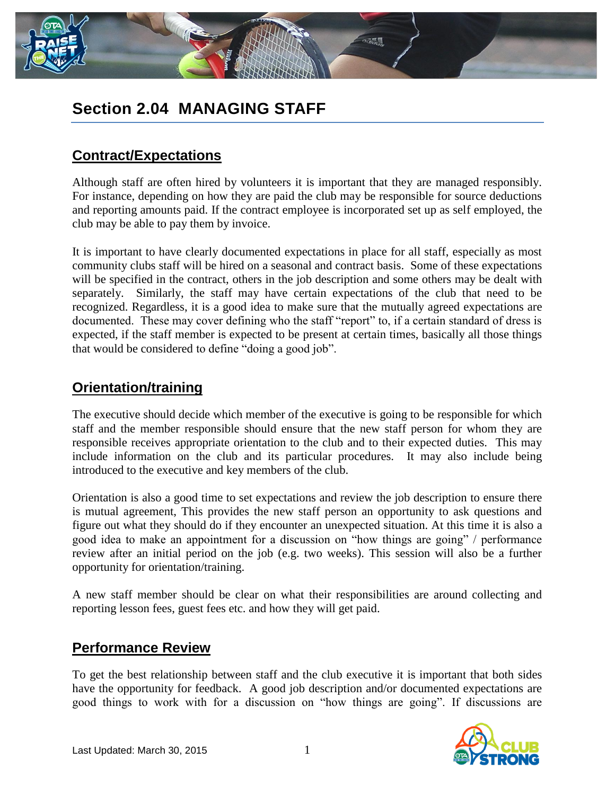

# **Section 2.04 MANAGING STAFF**

## **Contract/Expectations**

Although staff are often hired by volunteers it is important that they are managed responsibly. For instance, depending on how they are paid the club may be responsible for source deductions and reporting amounts paid. If the contract employee is incorporated set up as self employed, the club may be able to pay them by invoice.

It is important to have clearly documented expectations in place for all staff, especially as most community clubs staff will be hired on a seasonal and contract basis. Some of these expectations will be specified in the contract, others in the job description and some others may be dealt with separately. Similarly, the staff may have certain expectations of the club that need to be recognized. Regardless, it is a good idea to make sure that the mutually agreed expectations are documented. These may cover defining who the staff "report" to, if a certain standard of dress is expected, if the staff member is expected to be present at certain times, basically all those things that would be considered to define "doing a good job".

### **Orientation/training**

The executive should decide which member of the executive is going to be responsible for which staff and the member responsible should ensure that the new staff person for whom they are responsible receives appropriate orientation to the club and to their expected duties. This may include information on the club and its particular procedures. It may also include being introduced to the executive and key members of the club.

Orientation is also a good time to set expectations and review the job description to ensure there is mutual agreement, This provides the new staff person an opportunity to ask questions and figure out what they should do if they encounter an unexpected situation. At this time it is also a good idea to make an appointment for a discussion on "how things are going" / performance review after an initial period on the job (e.g. two weeks). This session will also be a further opportunity for orientation/training.

A new staff member should be clear on what their responsibilities are around collecting and reporting lesson fees, guest fees etc. and how they will get paid.

### **Performance Review**

To get the best relationship between staff and the club executive it is important that both sides have the opportunity for feedback. A good job description and/or documented expectations are good things to work with for a discussion on "how things are going". If discussions are